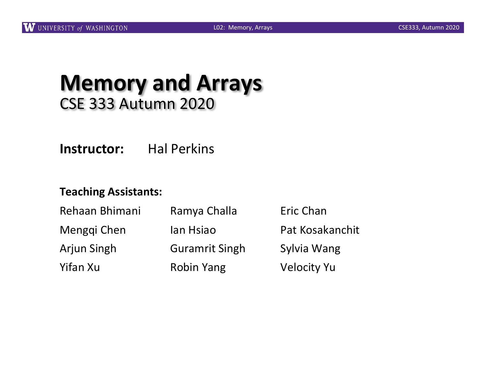#### **Memory and Arrays** CSE 333 Autumn 2020

**Instructor:** Hal Perkins

#### **Teaching Assistants:**

| Rehaan Bhimani     | Ramya Challa          | Eric Chan          |
|--------------------|-----------------------|--------------------|
| Menggi Chen        | lan Hsiao             | Pat Kosakanchit    |
| <b>Arjun Singh</b> | <b>Guramrit Singh</b> | Sylvia Wang        |
| Yifan Xu           | <b>Robin Yang</b>     | <b>Velocity Yu</b> |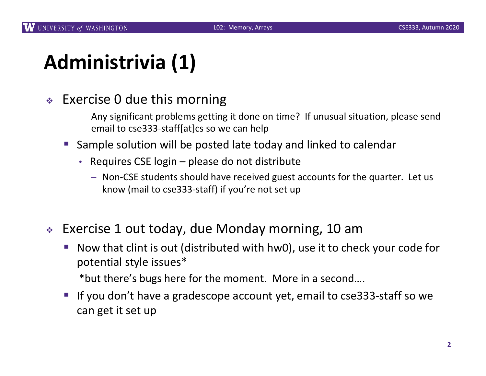# **Administrivia (1)**

#### $\div$  Exercise 0 due this morning

- Any significant problems getting it done on time? If unusual situation, please send email to cse333-staff[at]cs so we can help
- § Sample solution will be posted late today and linked to calendar
	- Requires CSE login please do not distribute
		- Non-CSE students should have received guest accounts for the quarter. Let us know (mail to cse333-staff) if you're not set up
- <sup>v</sup> Exercise 1 out today, due Monday morning, 10 am
	- § Now that clint is out (distributed with hw0), use it to check your code for potential style issues\*

\*but there's bugs here for the moment. More in a second….

If you don't have a gradescope account yet, email to cse333-staff so we can get it set up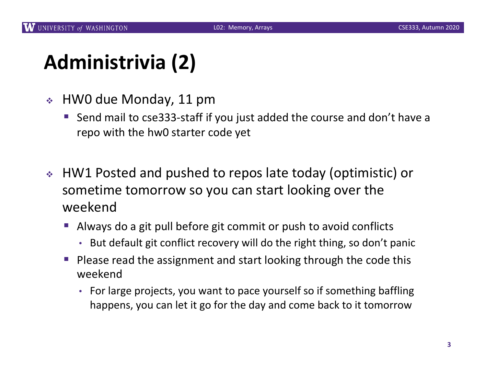## **Administrivia (2)**

- $\div$  HW0 due Monday, 11 pm
	- § Send mail to cse333-staff if you just added the course and don't have a repo with the hw0 starter code yet
- <sup>v</sup> HW1 Posted and pushed to repos late today (optimistic) or sometime tomorrow so you can start looking over the weekend
	- § Always do a git pull before git commit or push to avoid conflicts
		- But default git conflict recovery will do the right thing, so don't panic
	- § Please read the assignment and start looking through the code this weekend
		- For large projects, you want to pace yourself so if something baffling happens, you can let it go for the day and come back to it tomorrow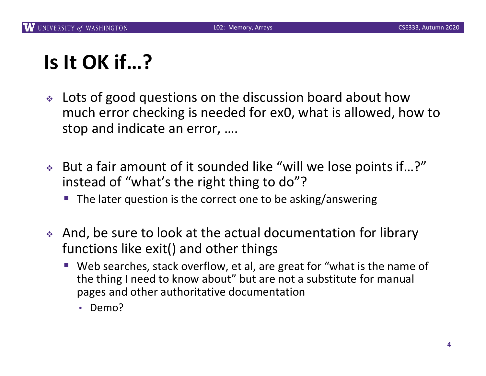# **Is It OK if…?**

- $\cdot$  Lots of good questions on the discussion board about how much error checking is needed for ex0, what is allowed, how to stop and indicate an error, ….
- ◆ But a fair amount of it sounded like "will we lose points if...?" instead of "what's the right thing to do"?
	- The later question is the correct one to be asking/answering
- And, be sure to look at the actual documentation for library functions like exit() and other things
	- Web searches, stack overflow, et al, are great for "what is the name of the thing I need to know about" but are not a substitute for manual pages and other authoritative documentation
		- Demo?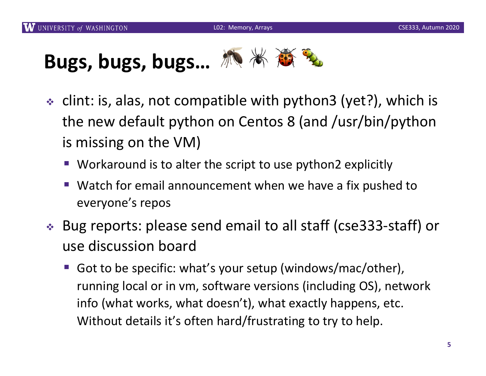# Bugs, bugs, bugs... **派米商**

- $\div$  clint: is, alas, not compatible with python3 (yet?), which is the new default python on Centos 8 (and /usr/bin/python is missing on the VM)
	- Workaround is to alter the script to use python2 explicitly
	- Watch for email announcement when we have a fix pushed to everyone's repos
- <sup>v</sup> Bug reports: please send email to all staff (cse333-staff) or use discussion board
	- § Got to be specific: what's your setup (windows/mac/other), running local or in vm, software versions (including OS), network info (what works, what doesn't), what exactly happens, etc. Without details it's often hard/frustrating to try to help.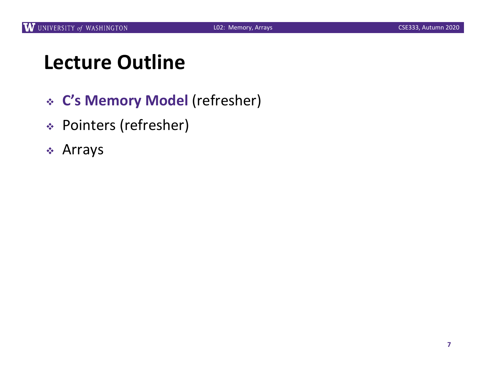## **Lecture Outline**

- <sup>v</sup> **C's Memory Model** (refresher)
- <sup>v</sup> Pointers (refresher)
- $\div$  Arrays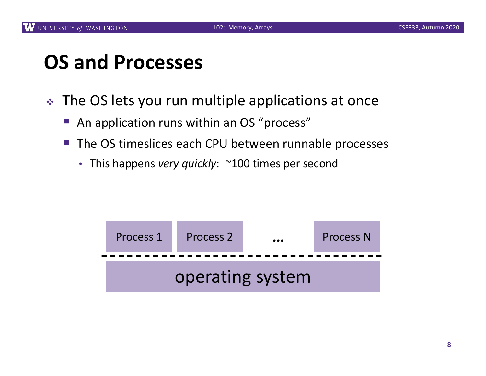## **OS and Processes**

- The OS lets you run multiple applications at once
	- An application runs within an OS "process"
	- The OS timeslices each CPU between runnable processes
		- This happens *very quickly*: ~100 times per second

| Process 1        | Process 2 | $\bullet\bullet\bullet$ | <b>Process N</b> |  |  |  |  |
|------------------|-----------|-------------------------|------------------|--|--|--|--|
| operating system |           |                         |                  |  |  |  |  |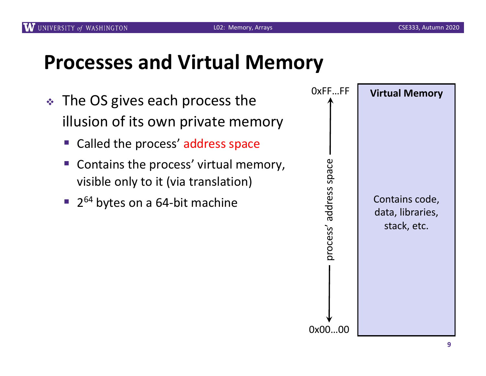#### **Processes and Virtual Memory**

- $\div$  The OS gives each process the illusion of its own private memory
	- Called the process' address space
	- Contains the process' virtual memory, visible only to it (via translation)
	- $\blacksquare$  2<sup>64</sup> bytes on a 64-bit machine

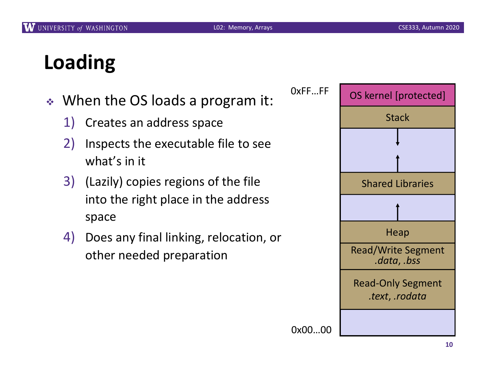# **Loading**

- ◆ When the OS loads a program it:
	- 1) Creates an address space
	- 2) Inspects the executable file to see what's in it
	- 3) (Lazily) copies regions of the file into the right place in the address space
	- 4) Does any final linking, relocation, or other needed preparation

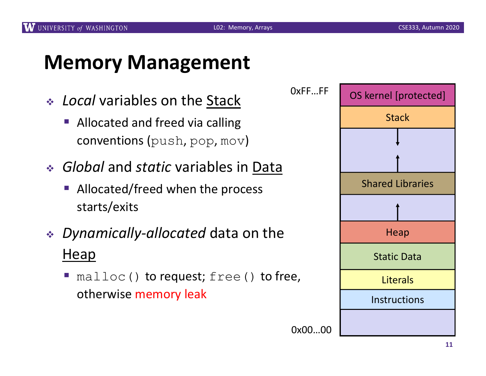#### **Memory Management**

- <sup>v</sup> *Local* variables on the Stack
	- § Allocated and freed via calling conventions (push, pop, mov)
- <sup>v</sup> *Global* and *static* variables in Data
	- Allocated/freed when the process starts/exits
- <sup>v</sup> *Dynamically-allocated* data on the Heap
	- malloc() to request; free() to free, otherwise memory leak

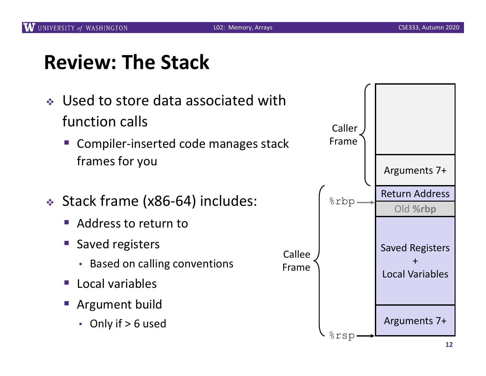## **Review: The Stack**

- ↓ Used to store data associated with function calls
	- § Compiler-inserted code manages stack frames for you
- ◆ Stack frame (x86-64) includes:
	- § Address to return to
	- § Saved registers
		- Based on calling conventions
	- § Local variables
	- § Argument build
		- Only if > 6 used

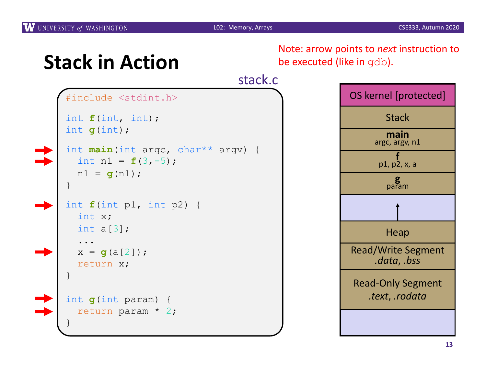

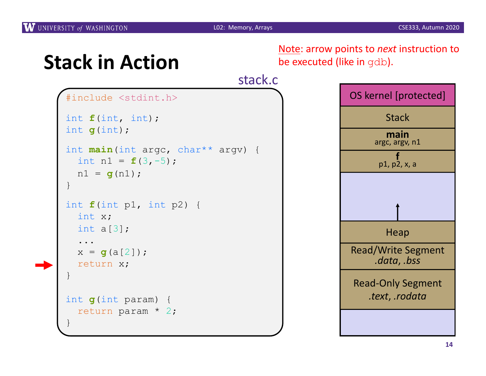

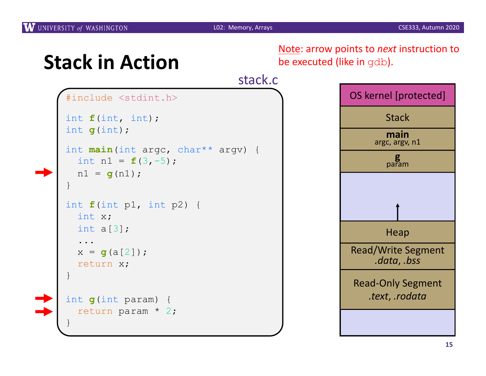

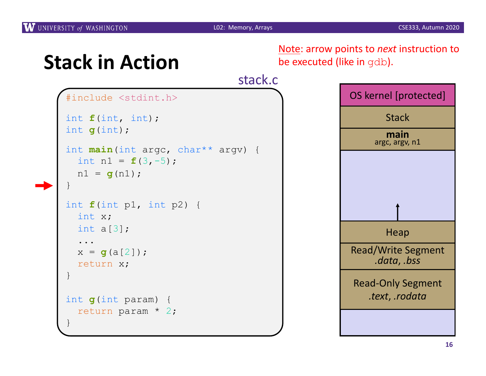

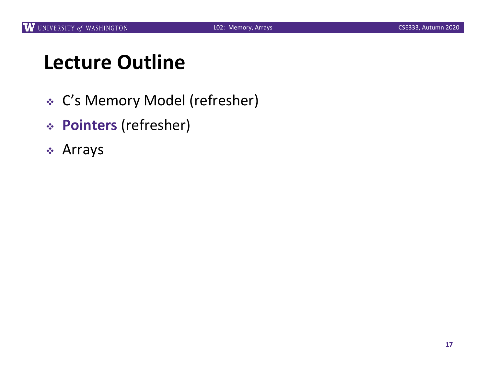## **Lecture Outline**

- <sup>v</sup> C's Memory Model (refresher)
- <sup>v</sup> **Pointers** (refresher)
- $\div$  Arrays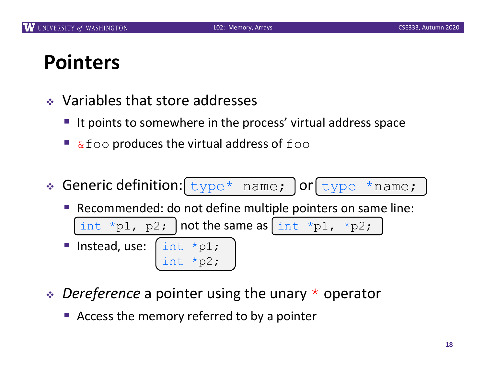## **Pointers**

- $\bullet$  Variables that store addresses
	- It points to somewhere in the process' virtual address space
	- $&$  foo produces the virtual address of  $f$ oo
- Generic definition: [type\* name; ] or [type \*name;



- **◆** *Dereference* a pointer using the unary  $*$  operator
	- Access the memory referred to by a pointer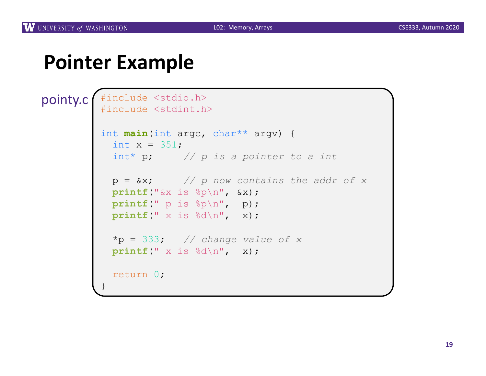#### **Pointer Example**

```
#include <stdio.h>
          #include <stdint.h>
         int main(int argc, char** argv) {
           int x = 351;
           int* p; // p is a pointer to a int
           p = &x; // p now contains the addr of x
           printf("&x is %p\n", &x);
           printf(" p is %p\n", p);
           printf(" x is %d\n", x);
           *p = 333; // change value of x
           printf(" x is %d\n", x);
           return 0;
          }
pointy.c
```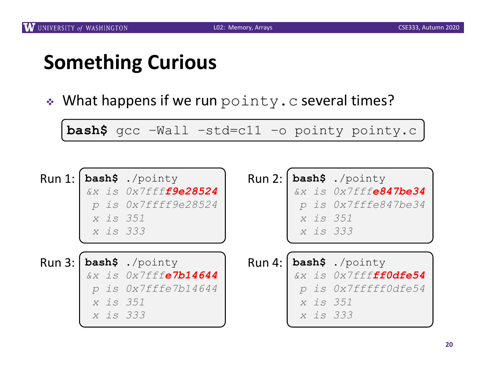## **Something Curious**

• What happens if we run pointy.c several times?

**bash\$** gcc –Wall –std=c11 –o pointy pointy.c

| x is 351<br>x is 333 | Run 1:   bash\$ ./pointy<br>&x is 0x7ffff9e28524<br>p is 0x7ffff9e28524 | $\mathcal{D}$<br>x is 351<br>x is 333 | Run $2:$ bash\$ ./pointy<br>&x is 0x7fffe847be34<br><i>is Ox7fffe847be34</i>         |
|----------------------|-------------------------------------------------------------------------|---------------------------------------|--------------------------------------------------------------------------------------|
| x is 351<br>x is 333 | $Run 3: Ibash$ ./pointy<br>&x is 0x7fffe7b14644<br>p is 0x7fffe7b14644  | $\mathcal{D}$<br>x is 351<br>x is 333 | $Run 4:   bash$ ./pointy<br>&x is 0x7fff <b>ff0dfe54</b><br><i>is 0x7fffff0dfe54</i> |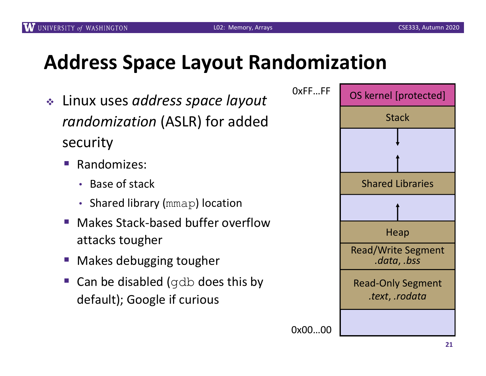## **Address Space Layout Randomization**

- <sup>v</sup> Linux uses *address space layout randomization* (ASLR) for added security
	- § Randomizes:
		- Base of stack
		- Shared library (mmap) location
	- § Makes Stack-based buffer overflow attacks tougher
	- § Makes debugging tougher
	- § Can be disabled (gdb does this by default); Google if curious

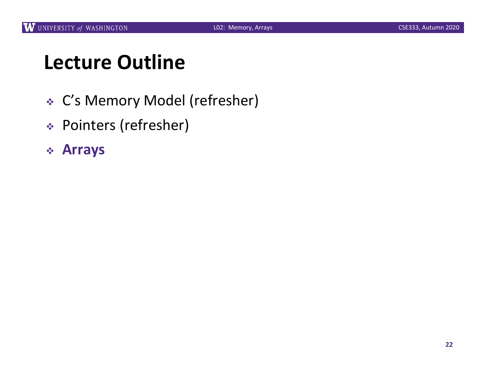## **Lecture Outline**

- <sup>v</sup> C's Memory Model (refresher)
- <sup>v</sup> Pointers (refresher)

#### <sup>v</sup> **Arrays**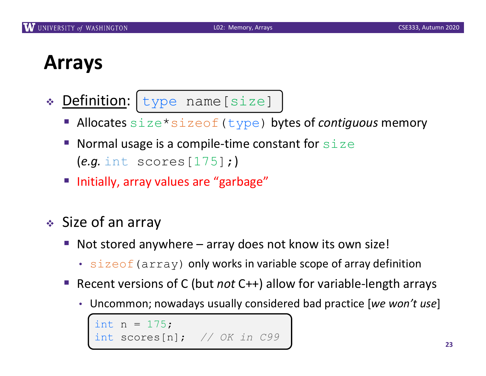## **Arrays**

- \* Definition: type name [size]
	- § Allocates size\*sizeof(type) bytes of *contiguous* memory
	- Normal usage is a compile-time constant for  $size$ (*e.g.* int scores[175];)
	- Initially, array values are "garbage"
- $\triangleleft$  Size of an array
	- Not stored anywhere array does not know its own size!
		- $\cdot$  sizeof (array) only works in variable scope of array definition
	- § Recent versions of C (but *not* C++) allow for variable-length arrays
		- Uncommon; nowadays usually considered bad practice [*we won't use*]

```
int n = 175;
int scores[n]; // OK in C99
```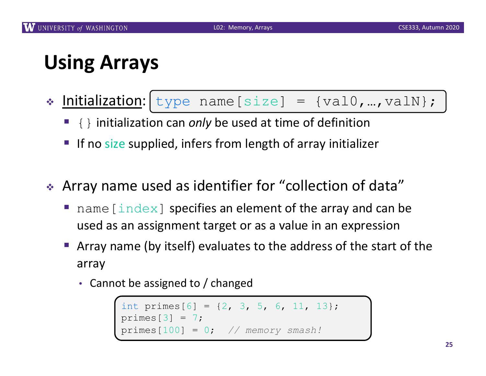## **Using Arrays**

- ◆ Initialization: type name [size] = {val0,...,valN};
	- { } initialization can *only* be used at time of definition
	- **If no size supplied, infers from length of array initializer**
- \* Array name used as identifier for "collection of data"
	- name [ $index$ ] specifies an element of the array and can be used as an assignment target or as a value in an expression
	- § Array name (by itself) evaluates to the address of the start of the array
		- Cannot be assigned to / changed

```
int primes[6] = \{2, 3, 5, 6, 11, 13\};
primes[3] = 7;primes[100] = 0; // memory smash!
```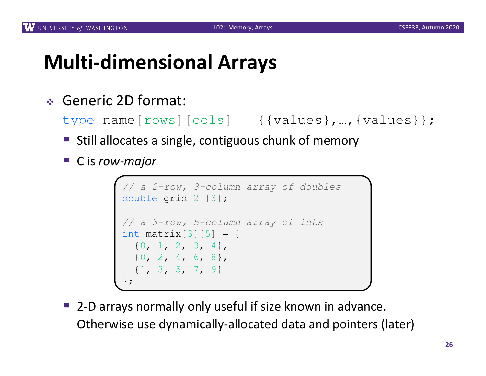## **Multi-dimensional Arrays**

<sup>v</sup> Generic 2D format:

```
type name[rows][cols] = {{values},…,{values}};
```
- Still allocates a single, contiguous chunk of memory
- C is *row-major*

```
// a 2-row, 3-column array of doubles
double grid[2][3];
// a 3-row, 5-column array of ints
int matrix[3][5] = {{0, 1, 2, 3, 4},
  {0, 2, 4, 6, 8},
  {1, 3, 5, 7, 9}
};
```
§ 2-D arrays normally only useful if size known in advance. Otherwise use dynamically-allocated data and pointers (later)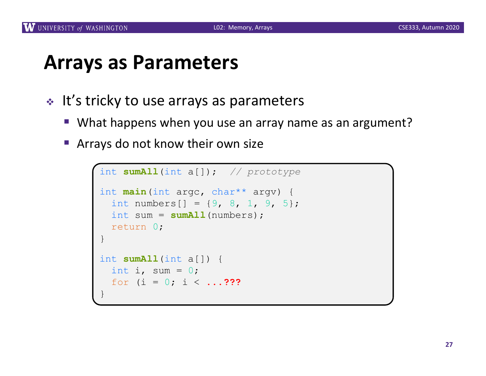#### **Arrays as Parameters**

- $\cdot$  It's tricky to use arrays as parameters
	- What happens when you use an array name as an argument?
	- Arrays do not know their own size

```
int sumAll(int a[]); // prototype
int main(int argc, char** argv) {
  int numbers [] = \{9, 8, 1, 9, 5\};
  int sum = sumAll(numbers);
  return 0;
}
int sumAll(int a[]) {
  int i, sum = 0;
  for (i = 0; i < ...???
}
```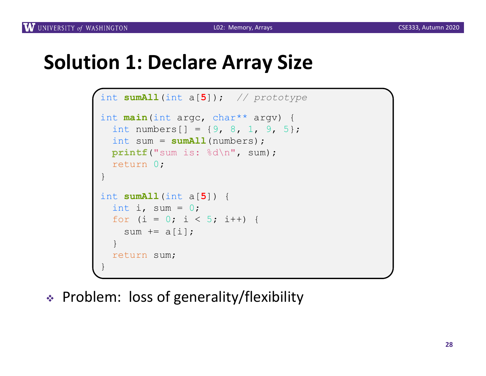#### **Solution 1: Declare Array Size**

```
int sumAll(int a[5]); // prototype
int main(int argc, char** argv) {
  int numbers[] = \{9, 8, 1, 9, 5\};
  int sum = sumAll(numbers);
 printf("sum is: %d\n", sum);
  return 0;
}
int sumAll(int a[5]) {
  int i, sum = 0;
  for (i = 0; i < 5; i++) {
    sum += a[i];}
  return sum;
}
```
<sup>v</sup> Problem: loss of generality/flexibility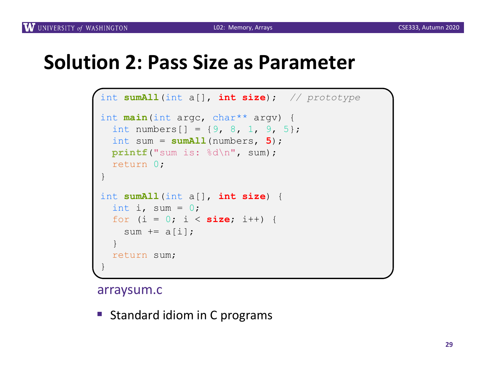#### **Solution 2: Pass Size as Parameter**

```
int sumAll(int a[], int size); // prototype
int main(int argc, char** argv) {
  int numbers [] = \{9, 8, 1, 9, 5\};
  int sum = sumAll(numbers, 5);
 printf("sum is: %d\n", sum);
  return 0;
}
int sumAll(int a[], int size) {
  int i, sum = 0;
  for (i = 0; i < size; i++) {
    sum += a[i];}
  return sum;
}
```
#### arraysum.c

■ Standard idiom in C programs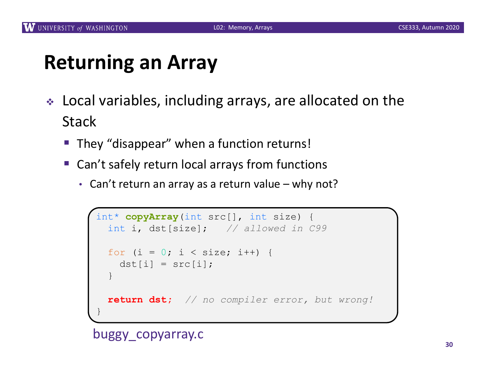## **Returning an Array**

- \* Local variables, including arrays, are allocated on the **Stack** 
	- They "disappear" when a function returns!
	- Can't safely return local arrays from functions
		- Can't return an array as a return value why not?

```
int* copyArray(int src[], int size) {
 int i, dst[size]; // allowed in C99
 for (i = 0; i < size; i++) {
   dst[i] = src[i];}
 return dst; // no compiler error, but wrong!
}
```
buggy\_copyarray.c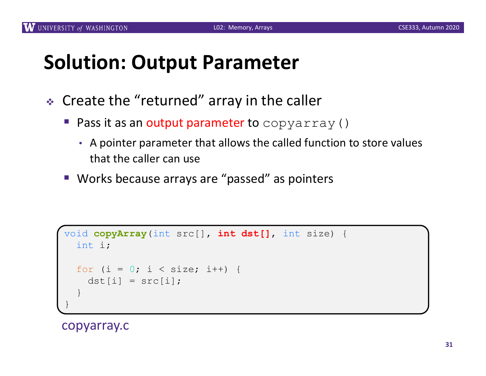## **Solution: Output Parameter**

- $\triangleleft$  Create the "returned" array in the caller
	- **Pass it as an output parameter to** copyarray()
		- A pointer parameter that allows the called function to store values that the caller can use
	- Works because arrays are "passed" as pointers

```
void copyArray(int src[], int dst[], int size) {
  int i;
  for (i = 0; i < size; i++) {
    dst[i] = src[i];}
}
```
copyarray.c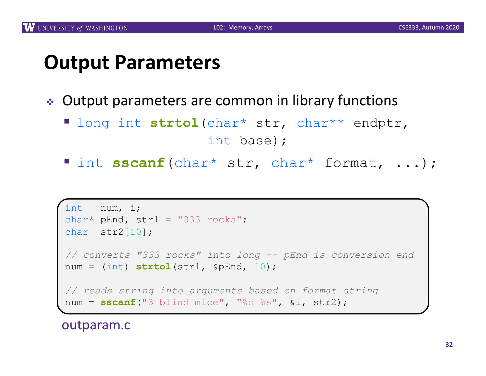#### **Output Parameters**

- ◆ Output parameters are common in library functions
	- § long int **strtol**(char\* str, char\*\* endptr, int base);
	- § int **sscanf**(char\* str, char\* format, ...);

```
int num, i;
char* pEnd, str1 = "333 rocks";
char str2[10];
// converts "333 rocks" into long -- pEnd is conversion end
num = (int) strtol(str1, &pEnd, 10);
// reads string into arguments based on format string
num = sscanf("3 blind mice", "%d %s", &i, str2);
```
outparam.c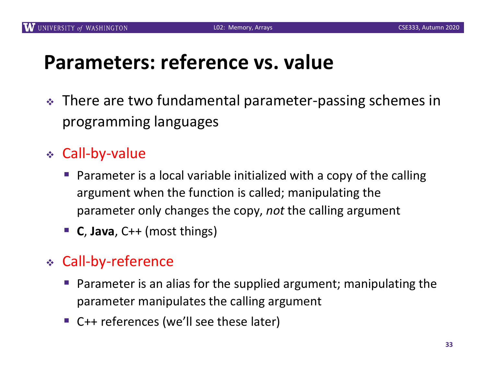## **Parameters: reference vs. value**

- \* There are two fundamental parameter-passing schemes in programming languages
- <sup>v</sup> Call-by-value
	- § Parameter is a local variable initialized with a copy of the calling argument when the function is called; manipulating the parameter only changes the copy, *not* the calling argument
	- § **C**, **Java**, C++ (most things)
- <sup>v</sup> Call-by-reference
	- Parameter is an alias for the supplied argument; manipulating the parameter manipulates the calling argument
	- C++ references (we'll see these later)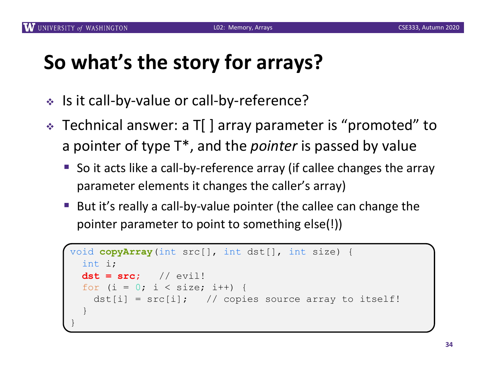## **So what's the story for arrays?**

- <sup>v</sup> Is it call-by-value or call-by-reference?
- $\cdot$  Technical answer: a T[ ] array parameter is "promoted" to a pointer of type T\*, and the *pointer* is passed by value
	- § So it acts like a call-by-reference array (if callee changes the array parameter elements it changes the caller's array)
	- But it's really a call-by-value pointer (the callee can change the pointer parameter to point to something else(!))

```
void copyArray(int src[], int dst[], int size) {
  int i;
 dst = src; // evil!
  for (i = 0; i < size; i++) {
    dst[i] = src[i]; // copies source array to itself!
  }
}
```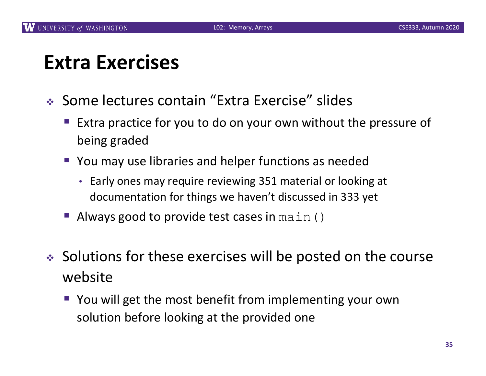#### **Extra Exercises**

- ◆ Some lectures contain "Extra Exercise" slides
	- Extra practice for you to do on your own without the pressure of being graded
	- You may use libraries and helper functions as needed
		- Early ones may require reviewing 351 material or looking at documentation for things we haven't discussed in 333 yet
	- Always good to provide test cases in main()
- $\bullet$  Solutions for these exercises will be posted on the course website
	- You will get the most benefit from implementing your own solution before looking at the provided one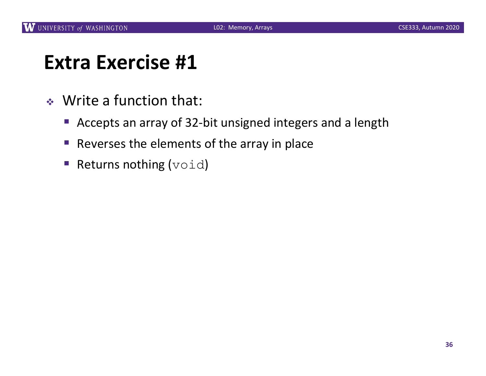#### **Extra Exercise #1**

- $\triangleleft$  Write a function that:
	- Accepts an array of 32-bit unsigned integers and a length
	- Reverses the elements of the array in place
	- Returns nothing  $(void)$